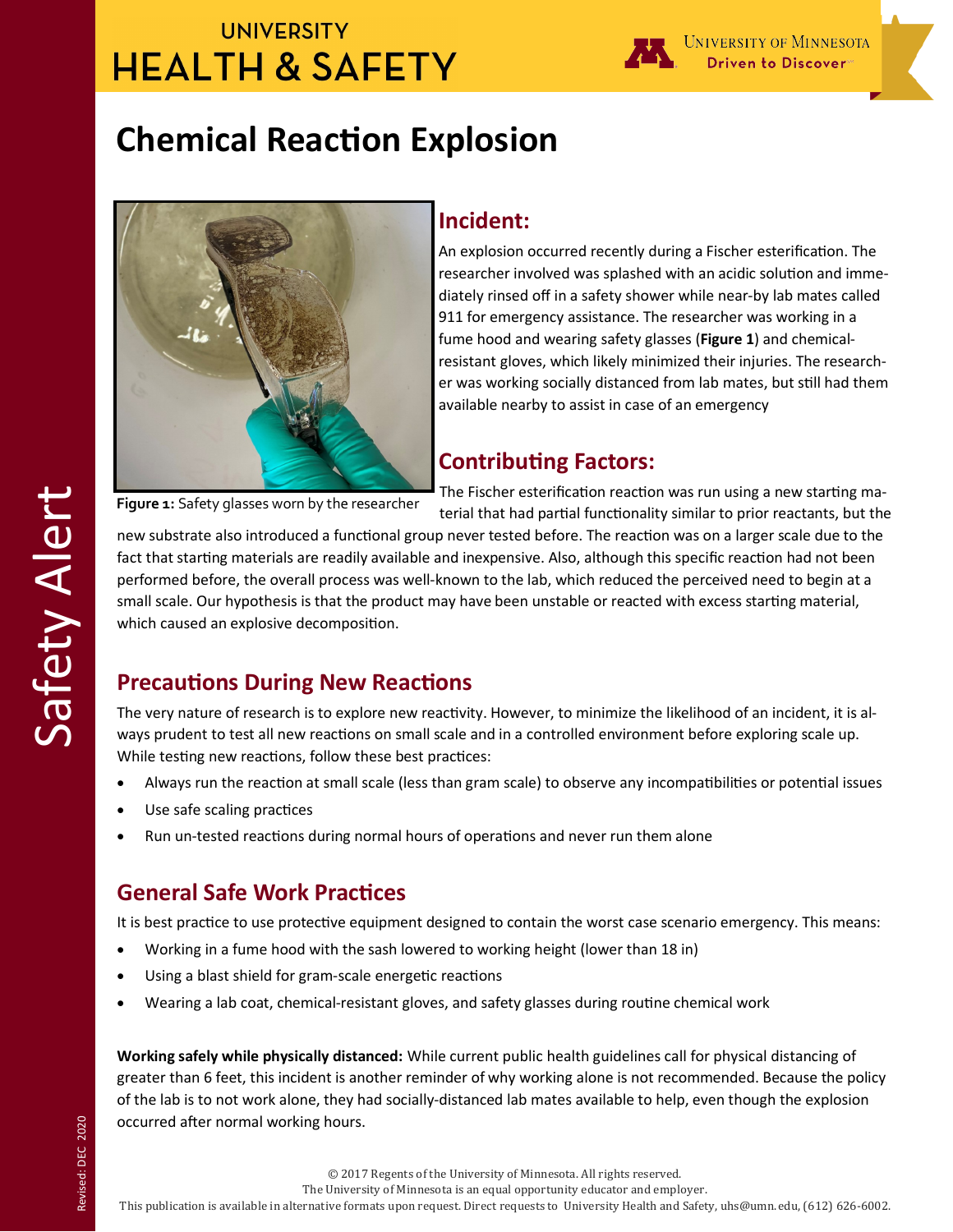# **UNIVERSITY HEALTH & SAFETY**



# **Chemical Reaction Explosion**



## **Incident:**

An explosion occurred recently during a Fischer esterification. The researcher involved was splashed with an acidic solution and immediately rinsed off in a safety shower while near-by lab mates called 911 for emergency assistance. The researcher was working in a fume hood and wearing safety glasses (**Figure 1**) and chemicalresistant gloves, which likely minimized their injuries. The researcher was working socially distanced from lab mates, but still had them available nearby to assist in case of an emergency

### **Contributing Factors:**

**Figure 1:** Safety glasses worn by the researcher

The Fischer esterification reaction was run using a new starting material that had partial functionality similar to prior reactants, but the

new substrate also introduced a functional group never tested before. The reaction was on a larger scale due to the fact that starting materials are readily available and inexpensive. Also, although this specific reaction had not been performed before, the overall process was well-known to the lab, which reduced the perceived need to begin at a small scale. Our hypothesis is that the product may have been unstable or reacted with excess starting material, which caused an explosive decomposition.

## **Precautions During New Reactions**

The very nature of research is to explore new reactivity. However, to minimize the likelihood of an incident, it is always prudent to test all new reactions on small scale and in a controlled environment before exploring scale up. While testing new reactions, follow these best practices:

- Always run the reaction at small scale (less than gram scale) to observe any incompatibilities or potential issues
- Use safe scaling practices
- Run un-tested reactions during normal hours of operations and never run them alone

## **General Safe Work Practices**

It is best practice to use protective equipment designed to contain the worst case scenario emergency. This means:

- Working in a fume hood with the sash lowered to working height (lower than 18 in)
- Using a blast shield for gram-scale energetic reactions
- Wearing a lab coat, chemical-resistant gloves, and safety glasses during routine chemical work

**Working safely while physically distanced:** While current public health guidelines call for physical distancing of greater than 6 feet, this incident is another reminder of why working alone is not recommended. Because the policy of the lab is to not work alone, they had socially-distanced lab mates available to help, even though the explosion occurred after normal working hours.

© 2017 Regents of the University of Minnesota. All rights reserved.

The University of Minnesota is an equal opportunity educator and employer.